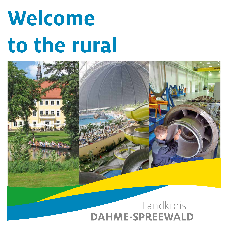# **Welcome to the rural**



# **DAHME-SPREEWALD**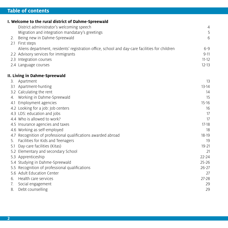# **Table of contents**

|     | I. Welcome to the rural district of Dahme-Spreewald                                            |           |
|-----|------------------------------------------------------------------------------------------------|-----------|
|     | District administrator's welcoming speech                                                      | 4         |
|     | Migration and integration mandatary's greetings                                                | 5         |
| 2.  | Being new in Dahme-Spreewald                                                                   | 6         |
| 2.1 | First steps                                                                                    |           |
|     | Aliens department, residents' registration office, school and day-care facilities for children | $6 - 9$   |
|     | 2.2 Advisory services for immigrants                                                           | $9 - 11$  |
|     | 2.3 Integration courses                                                                        | $11 - 12$ |
|     | 2.4 Language courses                                                                           | $12 - 13$ |
|     | II. Living in Dahme-Spreewald                                                                  |           |
| 3.  | Apartment                                                                                      | 13        |
|     | 3.1 Apartment-hunting                                                                          | $13 - 14$ |
|     | 3.2 Calculating the rent                                                                       | 14        |
| 4.  | Working in Dahme-Spreewald                                                                     | 15        |
| 4.1 | Employment agencies                                                                            | $15 - 16$ |
|     | 4.2 Looking for a job: Job centers                                                             | 16        |
|     | 4.3 LDS: education and jobs                                                                    | 17        |
|     | 4.4 Who is allowed to work?                                                                    | 17        |
|     | 4.5 Insurance agencies and taxes                                                               | $17 - 18$ |
|     | 4.6 Working as self-employed                                                                   | 18        |
|     | 4.7 Recognition of professional qualifications awarded abroad                                  | $18 - 19$ |
| 5.  | Facilities for Kids and Teenagers                                                              | 19        |
| 5.1 | Day-care facilities (Kitas)                                                                    | $19 - 21$ |
|     | 5.2 Elementary and secondary School                                                            | 21        |
|     | 5.3 Apprenticeship                                                                             | $22 - 24$ |
|     | 5.4 Studying in Dahme-Spreewald                                                                | $25 - 26$ |
|     | 5.5 Recognition of professional qualifications                                                 | $26 - 27$ |
|     | 5.6 Adult Education Center                                                                     | 27        |
| 6.  | Health care services                                                                           | $27 - 28$ |
| 7.  | Social engagement                                                                              | 29        |
| 8.  | Debt counselling                                                                               | 29        |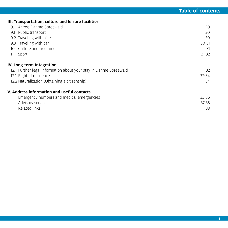# **III. Transportation, culture and leisure facilities**

| 9. Across Dahme-Spreewald                                        | 30        |
|------------------------------------------------------------------|-----------|
| 9.1 Public transport                                             | 30        |
| 9.2 Traveling with bike                                          | 30        |
| 9.3 Traveling with car                                           | $30 - 31$ |
| 10. Culture and free time                                        | 31        |
| 11. Sport                                                        | $31 - 32$ |
| IV. Long-term Integration                                        |           |
| 12. Further legal information about your stay in Dahme-Spreewald | 32        |
| 12.1 Right of residence                                          | $32 - 34$ |
| 12.2 Naturalization (Obtaining a citizenship)                    | 34        |
| V. Address information and useful contacts                       |           |
| Emergency numbers and medical emergencies                        | $35 - 36$ |
| Advisory services                                                | $37 - 38$ |
| Related links                                                    | 38        |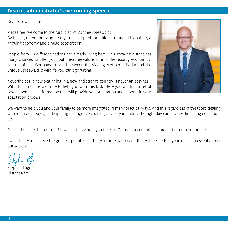# **District administrator's welcoming speech**

Dear fellow citizens

Please feel welcome to the rural district Dahme-Spreewald! By having opted for living here you have opted for a life surrounded by nature, a growing economy and a huge cooperation.

People from 98 different nations are already living here. This growing district has many chances to offer you. Dahme-Spreewald is one of the leading economical centres of east Germany. Located between the sizzling Metropole Berlin and the unique Spreewald´s wildlife you can't go wrong.

Nevertheless, a new beginning in a new and strange country is never an easy task. With this brochure we hope to help you with this task. Here you will find a set of several beneficial information that will provide you orientation and support in your adaptation process.



We want to help you and your family to be more integrated in many practical ways. And this regardless of the topic; dealing with idiomatic issues, participating in language courses, advisory in finding the right day care facility, financing education, etc.

Please do make the best of it! It will certainly help you to learn German faster and become part of our community.

I wish that you achieve the greatest possible start in your integration and that you get to feel yourself as an essential part our society.

Stephan Loge District adm.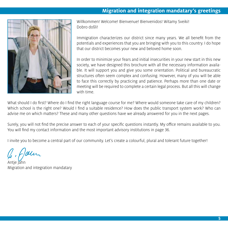# **Migration and integration mandatary's greetings**



Willkommen! Welcome! Bienvenue! Bienvenidos! Witamy Sveiki! Dobro došli!

Immigration characterizes our district since many years. We all benefit from the potentials and experiences that you are bringing with you to this country. I do hope that our district becomes your new and beloved home soon.

In order to minimize your fears and initial insecurities in your new start in this new society, we have designed this brochure with all the necessary information available. It will support you and give you some orientation. Political and bureaucratic structures often seem complex and confusing. However, many of you will be able to face this correctly by practicing and patience. Perhaps more than one date or meeting will be required to complete a certain legal process. But all this will change with time.

What should I do first? Where do I find the right language course for me? Where would someone take care of my children? Which school is the right one? Would I find a suitable residence? How does the public transport system work? Who can advise me on which matters? These and many other questions have we already answered for you in the next pages.

Surely, you will not find the precise answer to each of your specific questions instantly. My office remains available to you. You will find my contact information and the most important advisory institutions in page 36.

I invite you to become a central part of our community. Let's create a colourful, plural and tolerant future together!

1. Jour

Antje Jahn Migration and integration mandatary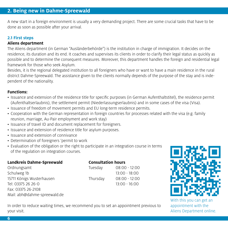A new start in a foreign environment is usually a very demanding project. There are some crucial tasks that have to be done as soon as possible after your arrival.

# **2.1 First steps**

# **Aliens department**

The Aliens department (in German "Ausländerbehörde") is the institution in charge of immigration. It decides on the residence, its duration and its end. It coaches and supervises its clients in order to clarify their legal status as quickly as possible and to determine the consequent measures. Moreover, this department handles the foreign and residential legal framework for those who seek Asylum.

Besides, it is the regional delegated institution to all foreigners who have or want to have a main residence in the rural district Dahme-Spreewald. The assistance given to the clients normally depends of the purpose of the stay and is independent of the nationality.

# **Functions:**

- Issuance and extension of the residence title for specific purposes (in German Aufenthaltstitel), the residence permit (Aufenthaltserlaubnis), the settlement permit (Niederlassungserlaubnis) and in some cases of the visa (Visa).
- Issuance of freedom of movement permits and EU long-term residence permits.
- Cooperation with the German representation in foreign countries for processes related with the visa (e.g. family reunion, marriage, Au-Pair employment and work stay)
- Issuance of travel ID and document replacement for foreigners.
- Issuance and extension of residence title for asylum purposes.
- Issuance and extension of connivance
- Determination of foreigners 'permit to work
- Evaluation of the obligation or the right to participate in an integration course in terms of the regulation on integration courses.

| Landkreis Dahme-Spreewald    |          | <b>Consultation hours</b> |  |
|------------------------------|----------|---------------------------|--|
| Ordnungsamt                  | Tuesday  | $08:00 - 12:00$           |  |
| Schulweg 1b                  |          | $13:00 - 18:00$           |  |
| 15711 Königs Wusterhausen    | Thursday | $08:00 - 12:00$           |  |
| Tel: 03375 26 26-0           |          | $13:00 - 16:00$           |  |
| Fax: 03375 26-2108           |          |                           |  |
| Mail: abh@dahme-spreewald.de |          |                           |  |



With this you can get an appointment with the Aliens Department online.

In order to reduce waiting times, we recommend you to set an appointment previous to your visit.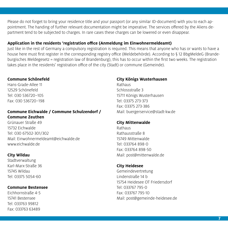Please do not forget to bring your residence title and your passport (or any similar ID-document) with you to each appointment. The handing of further relevant documentation might be imperative. The services offered by the Aliens department tend to be subjected to charges. In rare cases these charges can be lowered or even disappear.

# **Application in the residents 'registration office (Anmeldung im Einwohnermeldeamt)**

Just like in the rest of Germany a compulsory registration is required. This means that anyone who has or wants to have a house here must first register in the corresponding registry office (Meldebehörde). According to § 12 BbgMeldeG (Brandeburgisches Meldegesetz = registration law of Brandenburg), this has to occur within the first two weeks. The registration takes place in the residents' registration office of the city (Stadt) or commune (Gemeinde).

# **Commune Schönefeld**

Hans-Grade-Allee 11 12529 Schönefeld Tel: 030 536720–105 Fax: 030 536720–198

# **Commune Eichwalde / Commune Schulzendorf / Commune Zeuthen**

Grünauer Straße 49 15732 Eichwalde Tel: 030 67502-301/302 Mail: Einwohnermeldeamt@eichwalde.de www.eichwalde.de

# **City Wildau**

Stadtverwaltung Karl-Marx-Straße 36 15745 Wildau Tel: 03375 5054-60

# **Commune Bestensee**

Eichhornstraße 4-5 15741 Bestensee Tel: 033763 99812 Fax: 033763 63489

# **City Königs Wusterhausen**

Rathaus Schlossstraße 3 15711 Königs Wusterhausen Tel: 03375 273-373 Fax: 03375 273-386 Mail: buergerservice@stadt-kw.de

# **City Mittenwalde**

Rathaus Rathausstraße 8 15749 Mittenwalde Tel: 033764 898-0 Fax: 033764 898-50 Mail: post@mittenwalde.de

# **City Heidesee**

Gemeindevertretung Lindenstraße 14 b 15754 Heidesee OT Friedersdorf Tel: 033767 795-0 Fax: 033767 795-10 Mail: post@gemeinde-heidesee.de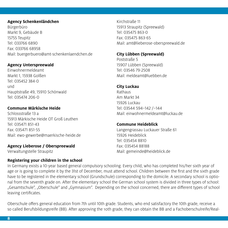# **Agency Schenkenländchen**

Bürgerbüro Markt 9, Gebäude B 15755 Teupitz Tel: 033766 6890 Fax: 033766 68958 Mail: buergerbuero@amt-schenkenlaendchen.de

# **Agency Unterspreewald**

Einwohnermeldeamt Markt 1, 15938 Golßen Tel: 035452 384-0 und Hauptstraße 49, 15910 Schönwald Tel: 035474 206-0

# **Commune Märkische Heide**

Schlossstraße 13 a 15913 Märkische Heide OT Groß Leuthen Tel: 035471 851-43 Fax: 035471 851-55 Mail: ewo-gewerbe@maerkische-heide.de

# **Agency Lieberose / Oberspreewald**

**Registering your children in the school**

Verwaltungstelle Straupitz

Kirchstraße 11 15913 Straupitz (Spreewald) Tel: 035475 863-0 Fax: 035475 863-65 Mail: amt@lieberose-oberspreewald.de

# **City Lübben (Spreewald)**

Poststraße 5 15907 Lübben (Spreewald) Tel: 03546 79-2508 Mail: meldeamt@luebben.de

# **City Luckau**

Rathaus Am Markt 34 15926 Luckau Tel: 03544 594–142 /–144 Mail: einwohnermeldeamt@luckau.de

# **Commune Heideblick**

Langengrassau Luckauer Straße 61 15926 Heideblick Tel: 035454 8810 Fax: 035454 88188 Mail: gemeinde@heideblick.de

In Germany exists a 10-year based general compulsory schooling. Every child, who has completed his/her sixth year of age or is going to complete it by the 31st of December, must attend school. Children between the first and the sixth grade have to be registered in the elementary school (Grundschule) corresponding to the domicile. A secondary school is optional from the seventh grade on. After the elementary school the German school system is divided in three types of school: "Gesamtschule", "Oberschule" and "Gymnasium". Depending on the school concerned, there are different types of school leaving certificates.

Oberschule offers general education from 7th until 10th grade. Students, who end satisfactory the 10th grade, receive a so called Berufsbildungsreife (BB). After approving the 10th grade, they can obtain the BB and a Fachoberschulreife/Real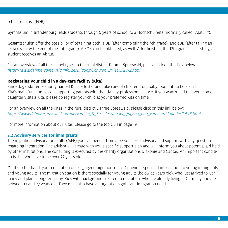schulabschluss (FOR).

Gymnasium in Brandenburg leads students through 6 years of school to a Hochschulreife (normally called "Abitur").

Gesamtschulen offer the possibility of obtaining both: a BB (after completing the 9th grade), and eBB (after taking an extra exam by the end of the 10th grade). A FOR can be obtained, as well. After finishing the 12th grade successfully, a student receives an Abitur.

For an overview of all the school types in the rural district Dahme-Spreewald, please click on this link below: https://www.dahme-spreewald.info/de/Bildung/Schulen\_im\_LDS/2872.html

# **Registering your child in a day-care facility (Kita)**

Kindertagesstätten – shortly named Kitas – foster and take care of children from babyhood until school start. Kita's main function lies on supporting parents with their family-profession balance. If you want/need that your son or daughter visits a Kita, please do register your child at your preferred Kita on time.

For an overview on all the Kitas in the rural district Dahme-Spreewald, please click on this link below: https://www.dahme-spreewald.info/de/Familie\_&\_Soziales/Kinder\_ Jugend\_und\_Familie/Kitafinder/5448.html

For more information about our Kitas, please go to the topic 5.1 in page 19.

# **2.2 Advisory services for immigrants**

The migration advisory for adults (MEB) you can benefit from a personalized advisory and support with any question regarding integration. The advisor will create with you a specific support plan and will inform you about potential aid held by other institutions. The consulting is executed by the charity organizations Diakonie and Caritas. An important condition ist hat you have to be over 27 years old.

On the other hand, youth migration office ( Jugendmigrationsdienst) provides specified information to young immigrants and young adults. The migration station is there specially for young adults (below 27 Years old), who just arrived to Germany and plan a long-term stay. Kids with backgrounds related to migration, who are already living in Germany and are between 12 and 27 years old. They must also have an urgent or significant integration need.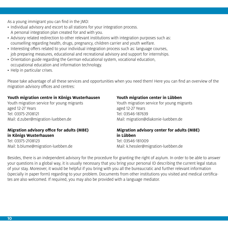As a young immigrant you can find in the JMD:

- Individual advisory and escort to all stations for your integration process. A personal integration plan created for and with you.
- Advisory related redirection to other relevant institutions with integration purposes such as: counselling regarding health, drugs, pregnancy, children carrier and youth welfare.
- Interesting offers related to your individual integration process such as: language courses, job preparing measures, educational and recreational advisory and support for internships.
- Orientation guide regarding the German educational system, vocational education, occupational education and information technology.
- Help in particular crises.

Please take advantage of all these services and opportunities when you need them! Here you can find an overview of the migration advisory offices and centres:

# **Youth migration centre in Königs Wusterhausen**

Youth migration service for young migrants aged 12-27 Years Tel: 03375-2108121 Mail: d.zuber@migration-luebben.de

# **Migration advisory office for adults (MBE) in Königs Wusterhausen**

Tel: 03375-2108123 Mail: b.blume@migration-luebben.de

# **Youth migration center in Lübben**

Youth migration service for young migrants aged 12-27 Years Tel: 03546-187639 Mail: migration@diakonie-luebben.de

# **Migration advisory center for adults (MBE) in Lübben**

Tel: 03546-181009 Mail: k.hessler@migration-luebben.de

Besides, there is an independent advisory for the procedure for granting the right of asylum. In order to be able to answer your questions in a global way, it is usually necessary that you bring your personal ID describing the current legal status of your stay. Moreover, it would be helpful if you bring with you all the bureaucratic and further relevant information (specially in paper form) regarding to your problem. Documents from other institutions you visited and medical certificates are also welcomed. If required, you may also be provided with a language mediator.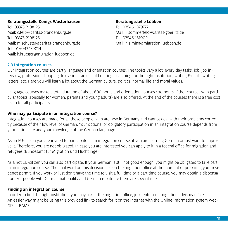# Beratungsstelle Königs Wusterhausen aus and Beratungsstelle Lübben

Tel: 03375-2108125 Tel: 03546-1879777 Mail: c.felix@caritas-brandenburg.de Mail: k.sommerfeld@caritas-goerlitz.de Tel: 03375-2108125 Tel: 03546-181009 Mail: m.schuster@caritas-brandenburg.de Mail: n.zimina@migration-luebben.de Tel: 0176-43439014 Mail: k.krueger@migration-luebben.de

# **2.3 Integration courses**

Our integration courses are partly language and orientation courses. The topics vary a lot: every-day tasks, job, job interview, profession, shopping, television, radio, child rearing, searching for the right institution, writing E-mails, writing letters, etc. Here you will learn a lot about the German culture, politics, normal life and moral values.

Language courses make a total duration of about 600 hours and orientation courses 100 hours. Other courses with particular topics (specially for women, parents and young adults) are also offered. At the end of the courses there is a free cost exam for all participants.

# **Who may participate in an integration course?**

Integration courses are made for all those people, who are new in Germany and cannot deal with their problems correctly because of their low level of German. Your optional or obligatory participation in an integration course depends from your nationality and your knowledge of the German language.

As an EU-citizen you are invited to participate in an integration course, if you are learning German or just want to improve it. Therefore, you are not obligated. In case you are interested you can apply to it in a federal office for migration and refugees (Bundesamt für Migration und Flüchtlinge).

As a not EU-citizen you can also participate. If your German is still not good enough, you might be obligated to take part in an integration course. The final word on this decision lies on the migration office at the moment of preparing your residence permit. If you work or just don't have the time to visit a full-time or a part-time course, you may obtain a dispensation. For people with German nationality and German repatriate there are special rules.

# **Finding an integration course**

In order to find the right institution, you may ask at the migration office, job center or a migration advisory office. An easier way might be using this provided link to search for it on the internet with the Online-Information system Web-GIS of BAMF: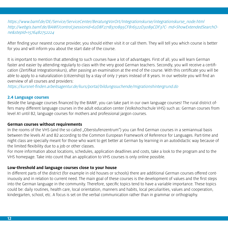# https://www.bamf.de/DE/Service/ServiceCenter/BeratungVorOrt/Integrationskurse/integrationskurse\_node.html http://webgis.bamf.de/BAMF/control;jsessionid=62D8F271B370895CF816522D3089CDF3?C- md=ShowExtendedSearchOne&stepId=1576482752224

After finding your nearest course provider, you should either visit it or call them. They will tell you which course is better for you and will inform you about the start date of the course.

It is important to mention that attending to such courses have a lot of advantages. First of all, you will learn German faster and easier by attending regularly to class with the very good German teachers. Secondly, you will receive a certification (Zertifikat Integrationskurs), after passing an examination at the end of the course. With this certificate you will be able to apply to a naturalization (citizenship) by a stay of only 7 years instead of 8 years. In our website you will find an overview of all courses and providers:

https://kursnet-finden.arbeitsagentur.de/kurs/portal/bildungssuchende/migrationshintergrund.do

# **2.4 Language courses**

Beside the language courses financed by the BAMF, you can take part in our own language courses! The rural district offers many different language courses in the adult education center (Volkshochschule VHS) such as: German courses from level A1 until B2, language courses for mothers and professional jargon courses.

# **German courses without requirements**

In the rooms of the VHS (and the so called "Oberstufenzentrum") you can find German courses in a semiannual basis between the levels A1 and B2 according to the Common European Framework of Reference for Languages. Part-time and night class are specially meant for those who want to get better at German by learning in an autodidactic way because of the limited flexibility due to a job or other classes.

For more information about locations, schedules, application deadlines and costs, take a look to the program and to the VHS homepage. Take into count that an application to VHS courses is only online possible.

# **Low-threshold and language courses close to your house**

In different parts of the district (for example in old houses or schools) there are additional German courses offered continuously and in relation to current need. The main goal of these courses is the development of values and the first steps into the German language in the community. Therefore, specific topics tend to have a variable importance. These topics could be: daily routines, health care, local orientation, manners and habits, local peculiarities, values and cooperation, kindergarten, school, etc. A focus is set on the verbal communication rather than in grammar or orthography.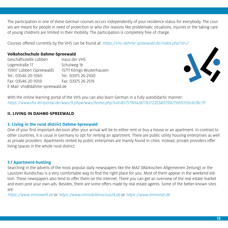The participation in one of these German courses occurs independently of your residence status for everybody. The courses are meant for people in need of protection or who (for reasons like problematic situations, injuries or the taking care of young children) are limited in their mobility. The participation is completely free of charge.

Courses offered currently by the VHS can be found at: https://vhs-dahme-spreewald.de/index.php?id=2

# **Volkshochschule Dahme-Spreewald**

Geschäftsstelle Lübben Haus der VHS Logenstraße 17 Schulweg 1b 15907 Lübben (Spreewald) 15711 Königs Wusterhausen Tel.: 03546 20-1060 Tel.: 03375 26-2500 Fax: 03546 20-1059 Fax: 03375 26-2519 E-Mail: vhs@dahme-spreewald.de



With the online learning portal of the VHS you can also learn German in a fully autodidactic manner: https://www.vhs-lernportal.de/wws/9.php#/wws/home.php?sid=85757904287762723558079927993170Sc6cf8c79

# **II. LIVING IN DAHME-SPREEWALD**

# **3. Living in the rural district Dahme-Spreewald**

One of your first important decision after your arrival will be to either rent or buy a house or an apartment. In contrast to other countries, it is usual in Germany to opt for renting an apartment. There are public utility housing enterprises as well as private providers. Apartments rented by public enterprises are mainly found in cities. Instead, private providers offer living spaces in the whole rural district.

# **3.1 Apartment-hunting**

Searching in the adverts of the most popular daily newspapers like the MAZ (Märkischen Allgemeinen Zeitung) or the Lausitzer Rundschau is a very comfortable way to find the right place for you. Most of them appear in the weekend edition. These newspapers also tend to offer them on the internet. There you can get an overview of the real estate market and even post your own ads. Besides, there are some offers made by real estate agents. Some of the better-known sites are:

https://www.immowelt.de or https://www.immobilienscout24.de or https://www.immonet.de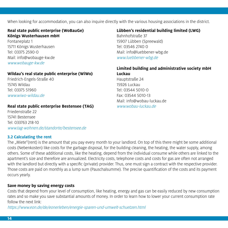When looking for accommodation, you can also inquire directly with the various housing associations in the district.

# **Real state public enterprise (WoBauGe) Königs Wusterhausen mbH**

Fontaneplatz 1 15711 Königs Wusterhausen Tel: 03375 2590-0 Mail: info@wobauge-kw.de www.wobauge-kw.de

# **Wildau's real state public enterprise (WiWo)**

Friedrich-Engels-Straße 40 15745 Wildau Tel: 03375 51960 www.wiwo-wildau.de

# **Real state public enterprise Bestensee (TAG)**

Friedenstraße 22 15741 Bestensee Tel: 033763 218-10 www.tag-wohnen.de/standorte/bestensee.de

# **3.2 Calculating the rent**

# **Lübben's residential building limited (LWG)**

Bahnhofstraße 37 15907 Lübben (Spreewald) Tel: 03546 2740 0 Mail: info@luebbener-wbg.de www.luebbener-wbg.de

# **Limited building and administrative society mbH Luckau**

Hauptstraße 24 15926 Luckau Tel: 03544 5010-0 Fax: 03544 5010-13 Mail: info@wobau-luckau.de www.wobau-luckau.de

The "Miete"(rent) is the amount that you pay every month to your landlord. On top of this there might be some additional costs (Nebenkosten) like costs for the garbage disposal, for the building cleaning, the heating, the water supply, among others. Some of these additional costs, like the heating, depend from the individual consume while others are linked to the apartment's size and therefore are annualized. Electricity costs, telephone costs and costs for gas are often not arranged with the landlord but directly with a specific (private) provider. Thus, one must sign a contract with the respective provider. Those costs are paid on monthly as a lump sum (Pauschalsumme). The precise quantification of the costs and its payment occurs yearly.

# **Save money by saving energy costs**

Costs that depend from your level of consumption, like heating, energy and gas can be easily reduced by new consumption rates and so make you save substantial amounts of money. In order to learn how to lower your current consumption rate follow the next link:

https://www.eon.de/de/eonerleben/energie-sparen-und-umwelt-schuetzen.html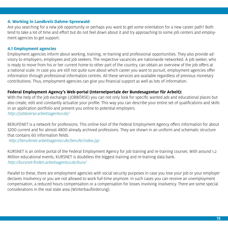# **4. Working in Landkreis Dahme-Spreewald**

Are you searching for a new job opportunity or perhaps you want to get some orientation for a new career path? Both tend to take a lot of time and effort but do not feel down about it and try approaching to some job centers and employment agencies to get support.

# **4.1 Employment agencies**

Employment agencies inform about working, training, re-training and professional opportunities. They also provide advisory to employers, employees and job seekers. The respective vacancies are nationwide networked. A job seeker, who is ready to move from his or her current home to other part of the country, can obtain an overview of the job offers at a national scale. In case you are still not quite sure about which career you want to pursuit, employment agencies offer information through professional information centres. All these services are available regardless of previous monetary contributions. Thus, employment agencies can give you financial support as well as lots of information.

# **Federal Employment Agency's Web-portal (Internetportale der Bundesagentur für Arbeit):**

With the help of the job exchange (JOBBÖRSE) you can not only look for specific wanted ads and educational places but also create, edit and constantly actualize your profile. This way you can describe your entire set of qualifications and skills in an application portfolio and present you online to potential employers. http://jobboerse.arbeitsagentur.de/

BERUFENET is a network for professions. This online-tool of the Federal Employment Agency offers information for about 3200 current and for almost 4800 already archived professions. They are shown in an uniform and schematic structure that contains 60 information fields.

http://berufenet.arbeitsagentur.de/berufe/index.jsp

KURSNET is an online portal of the Federal Employment Agency for job training and re-training courses. With around 1,2 Million educational events, KURSNET is doubtless the biggest training and re-training data bank. http://kursnet-finden.arbeitsagentur.de/kurs/

Parallel to these, there are employment agencies with social security purposes in case you lose your job or your employer declares insolvency or you are not allowed to work full-time anymore. In such cases you can receive an unemployment compensation, a reduced hours compensation or a compensation for losses involving insolvency. There are some special considerations in the real state area (Winterbauförderung).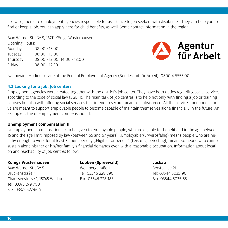Likewise, there are employment agencies responsible for assistance to job seekers with disabilities. They can help you to find or keep a job. You can apply here for child benefits, as well. Some contact information in the region:

Max-Werner-Straße 5, 15711 Königs Wusterhausen

Opening Hours: Monday 08:00 - 13:00 Tuesday 08:00 - 13:00 Thursday 08:00 - 13:00, 14:00 - 18:00 Friday 08:00 - 12:30



Nationwide Hotline service of the Federal Employment Agency (Bundesamt für Arbeit): 0800 4 5555 00

# **4.2 Looking for a job: Job centers**

Employment agencies were created together with the district's job center. They have both duties regarding social services according to the code of social law (SGB II). The main task of job centres is to help not only with finding a job or training courses but also with offering social services that intend to secure means of subsistence. All the services mentioned above are meant to support employable people to become capable of maintain themselves alone financially in the future. An example is the unemployment compensation II.

# **Unemployment compensation II**

Unemployment compensation II can be given to employable people, who are eligible for benefit and in the age between 15 and the age limit imposed by law (between 65 and 67 years). "Employable"(Erwerbsfähig) means people who are healthy enough to work for at least 3 hours per day. "Eligible for benefit" (Leistungsberechtigt) means someone who cannot sustain alone his/her or his/her family's financial demands even with a reasonable occupation. Information about location and reachability of job centres follow:

# **Königs Wusterhausen**

Max-Werner-Straße 5 Brückenstraße 41 Chausseestraße 1, 15745 Wildau Tel: 03375 279-700 Fax: 03375 527-666

# **Lübben (Spreewald)** Weinbergstraße 1 Tel: 03546 228-290

Fax: 03546 228-188

# **Luckau** Bersteallee 21

Tel: 03544 5035-90 Fax: 03544 5035-55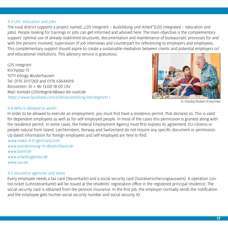# 4.3 LDS: education and jobs

The rural district supports a project named "LDS integriert – Ausbildung und Arbeit"(LDS integrated – education and jobs). People looking for trainings or jobs can get informed and advised here. The main objective is the complementary support: optimal use of already stablished structures, documentation and maintenance of bureaucratic processes for and with the persons involved, supervision of job interviews and counterpart for referencing to employers and employees. This complementary support should aspire to create a sustainable mediation between clients and potential employers or/ and educational institutions. This advisory service is gratuitous.

LDS integriert Kirchplatz 15 15711 Königs Wusterhausen Tel: 0176 31117269 and 0176 63644919 Bürozeiten: Di + Mi 13.00-18.00 Uhr Mail: kontakt-LDSintegriert@awo-bb-sued.de https://www.facebook.com/arbeitausbildung.ldsintegriert.1



© Fotolia/Robert Kneschke

# 4.4 Who is allowed to work?

In order to be allowed to execute an employment, you must first have a residence permit, that declares so. This is valid for dependent employees as well as for self-employed people. In most of the cases this permission is granted along with the residence permit. In some cases, the Federal Employment Agency must first express its agreement. EU-citizens or people natural from Island, Liechtenstein, Norway and Switzerland do not require any specific document or permission. Up dated information for foreign employees and self-employed are here to find:

www.make-it-in-germany.com www.anerkennung-in-deutschland.de www.bamf.de www.arbeitsagentur.de www.zav.de

# 4.5 Insurance agencies and taxes

Every employee needs a tax card (Steuerkarte) and a social security card (Sozialversicherungsausweis). A operation control ticket (Lohnsteuerkarte) will be issued at the residents' registration office in the registered principal residence. The social security card is obtained from the pension insurance. In the first job, the employer normally sends the notification and the employee gets his/her social security number and social security ID.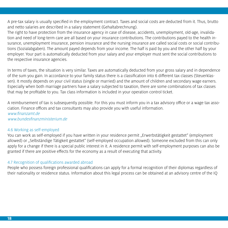A pre-tax salary is usually specified in the employment contract. Taxes and social costs are deducted from it. Thus, brutto and netto salaries are described in a salary statement (Gehaltabrechnung).

The right to have protection from the insurance agency in case of disease, accidents, unemployment, old-age, invalidation and need of long-term care are all based on your insurance contributions. The contributions payed to the health insurance, unemployment insurance, pension insurance and the nursing insurance are called social costs or social contributions (Sozialabgaben). The amount payed depends from your income. The half is paid by you and the other half by your employer. Your part is automatically deducted from your salary and your employer must sent the social contributions to the respective insurance agencies.

In terms of taxes, the situation is very similar. Taxes are automatically deducted from your gross salary and in dependence of the sum you gain. In accordance to your family status there is a classification into 6 different tax classes (Steuerklassen). It mostly depends on your civil status (single or married) and the amount of children and secondary wage earners. Especially when both marriage partners have a salary subjected to taxation, there are some combinations of tax classes that may be profitable to you. Tax class information is included in your operation control ticket.

A reimbursement of tax is subsequently possible. For this you must inform you in a tax advisory office or a wage tax association. Finance offices and tax consultants may also provide you with useful information. www.finanzamt.de www.bundesfinanzministerium.de

# 4.6 Working as self-employed

You can work as self-employed if you have written in your residence permit "Erwerbstätigkeit gestattet" (employment allowed) or "Selbständige Tätigkeit gestattet" (self-employed occupation allowed). Someone excluded from this can only apply for a change if there is a special public interest in it. A residence permit with self-employment purposes can also be granted if there are positive effects for the economy as a result of executing that activity.

# 4.7 Recognition of qualifications awarded abroad

People who possess foreign professional qualifications can apply for a formal recognition of their diplomas regardless of their nationality or residence status. Information about this legal process can be obtained at an advisory centre of the IQ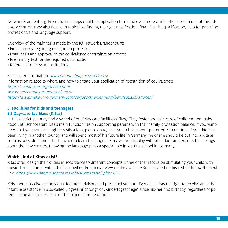Network Brandenburg. From the first steps until the application form and even more can be discussed in one of this advisory centres. They also deal with topics like finding the right qualification, financing the qualification, help for part-time professionals and language support.

Overview of the main tasks made by the IQ Network Brandenburg:

- First advisory regarding recognition processes
- Legal basis and approval of the equivalence determination process
- Preliminary test for the required qualification
- Reference to relevant institutions

For further information: www.brandenburg.netzwerk-iq.de Information related to where and how to create your application of recognition of equivalence: https://anabin.kmk.org/anabin.html www.anerkennung-in-deutschland.de https://www.make-it-in-germany.com/de/jobs/anerkennung/berufsqualifikationen/

# **5. Facilities for kids and teenagers**

# **5.1 Day-care facilities (Kitas)**

In this district you may find a varied offer of day care facilities (Kitas). They foster and take care of children from babyhood until school start. Kita's main function lies on supporting parents with their family-profession balance. If you want/ need that your son or daughter visits a Kita, please do register your child at your preferred Kita on time. If your kid has been living in another country and will spend most of his future life in Germany, he or she should be put into a Kita as soon as possible in order for him/her to learn the language, make friends, play with other kids and express his feelings about the new country. Knowing the language plays a special role in starting school in Germany.

# **Which kind of Kitas exist?**

Kitas often design their duties in accordance to different concepts. Some of them focus on stimulating your child with musical education or with athletic activities. For an overview on the available Kitas located in this district follow the next link: https://www.dahme-spreewald.info/sixcms/detail.php/4722

Kids should receive an individual featured advisory and preschool support. Every child has the right to receive an early infantile assistance in a so called "Tageseinrichtung" or "Kindertagespflege" since his/her first birthday, regardless of parents being able to take care of their child at home or not.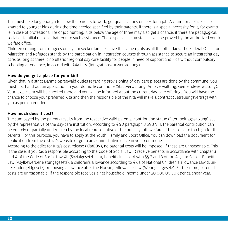This must take long enough to allow the parents to work, get qualifications or seek for a job. A claim for a place is also granted to younger kids during the time needed specified by their parents, if there is a special necessity for it, for example in case of professional life or job hunting. Kids below the age of three may also get a chance, if there are pedagogical, social or familial reasons that require such assistance. These special circumstances will be proved by the authorized youth welfare office.

Children coming from refugees or asylum seeker families have the same rights as all the other kids. The Federal Office for Migration and Refugees stands by the participation in integration courses through assistance to secure an integrating day care, as long as there is no ulterior regional day care facility for people in need of support and kids without compulsory schooling attendance, in accord with §4a IntV (Integrationskursverordnung).

# **How do you get a place for your kid?**

Given that in district Dahme-Spreewald duties regarding provisioning of day-care places are done by the commune, you must first hand out an application in your domicile commune (Stadtverwaltung, Amtsverwaltung, Gemeindeverwaltung). Your legal claim will be checked there and you will be informed about the current day-care offerings. You will have the chance to choose your preferred Kita and then the responsible of the Kita will make a contract (Betreuungsvertrag) with you as person entitled.

# **How much does it cost?**

The sum payed by the parents results from the respective valid parental contribution statue (Elternbeitragssatzung) set by the representative of the day-care institution. According to § 90 paragraph 3 SGB VIII, the parental contribution can be entirely or partially undertaken by the local representative of the public youth welfare, if the costs are too high for the parents. For this purpose, you have to apply at the Youth, Family and Sport Office. You can download the document for application from the district's website or go to an administrative office in your commune.

According to the edict for Kita's cost release (KitaBBV), no parental costs will be imposed, if these are unreasonable. This is the case, if you (as a responsible according to the Code of Social Law II) receive benefits in accordance with chapter 3 and 4 of the Code of Social Law XII (Sozialgesetzbuch), benefits in accord with §§ 2 and 3 of the Asylum Seeker Benefit Law (Asylbewerberleistungsgesetz), a children's allowance according to § 6a of National Children's allowance Law (Bundeskindergeldgesetz) or housing allowance after the Housing Allowance Law (Wohngeldgesetz). Furthermore, parental costs are unreasonable, if the responsible receives a net household income under 20,000.00 EUR per calendar year.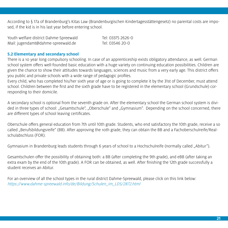According to § 17a of Brandenburg's Kitas Law (Brandenburgischen Kindertagesstättengesetz) no parental costs are imposed, if the kid is in his last year before entering school.

| Youth welfare district Dahme-Spreewald | Tel: 03375 2626-0 |
|----------------------------------------|-------------------|
| Mail: jugendamt@dahme-spreewald.de     | Tel: 03546 20-0   |

# **5.2 Elementary and secondary school**

There is a 10 year long compulsory schooling. In case of an apprenticeship exists obligatory attendance, as well. German school system offers well-founded basic education with a huge variety on continuing education possibilities. Children are given the chance to show their attitudes towards languages, sciences and music from a very early age. This district offers you public and private schools with a wide range of pedagogic profiles.

Every child, who has completed his/her sixth year of age or is going to complete it by the 31st of December, must attend school. Children between the first and the sixth grade have to be registered in the elementary school (Grundschule) corresponding to their domicile.

A secondary school is optional from the seventh grade on. After the elementary school the German school system is divided in three types of school: "Gesamtschule", "Oberschule" and "Gymnasium". Depending on the school concerned, there are different types of school leaving certificates.

Oberschule offers general education from 7th until 10th grade. Students, who end satisfactory the 10th grade, receive a so called "Berufsbildungsreife" (BB). After approving the 10th grade, they can obtain the BB and a Fachoberschulreife/Realschulabschluss (FOR).

Gymnasium in Brandenburg leads students through 6 years of school to a Hochschulreife (normally called "Abitur").

Gesamtschulen offer the possibility of obtaining both: a BB (after completing the 9th grade), and eBB (after taking an extra exam by the end of the 10th grade). A FOR can be obtained, as well. After finishing the 12th grade successfully a student receives an Abitur.

For an overview of all the school types in the rural district Dahme-Spreewald, please click on this link below: https://www.dahme-spreewald.info/de/Bildung/Schulen\_im\_LDS/2872.html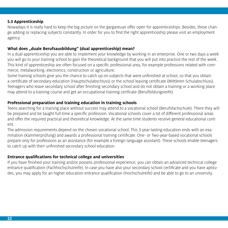# **5.3 Apprenticeship**

Nowadays it is really hard to keep the big picture on the gargantuan offer open for apprenticeships. Besides, these change adding or replacing subjects constantly. In order for you to find the right apprenticeship please visit an employment agency.

# What does "duale Berufsausbildung" (dual apprenticeship) mean?

In a dual apprenticeship you are able to implement your knowledge by working in an enterprise. One or two days a week you will go to your training school to gain the theoretical background that you will put into practice the rest of the week. This kind of apprenticeship are often focused on a specific professional area, for example professions related with commerce, metalworking, electronics, construction or agriculture.

Some training schools give you the chance to catch up on subjects that were unfinished at school, so that you obtain a certificate of secondary education (Hauptschulabschluss) or the school leaving certificate (Mittleren Schulabschluss). Teenagers who leave secondary school after finishing secondary school and do not obtain a training or a working place may attend to a training course and get an occupational training cerificate (Berufbildungsreife).

# **Professional preparation and training education in training schools**

Teens searching for a training place without success may attend to a vocational school (Berufsfachschule). There they will be prepared and be taught full-time a specific profession. Vocational schools cover a lot of different professional areas and offer the required practical and theoretical knowledge. At the same time students receive general educational content.

The admission requirements depend on the chosen vocational school. This 3-year-lasting education ends with an examination (Kammerprüfung) and awards a professional training certificate. One- or Two-year-based vocational schools prepare only for professions as an assistance (for example a foreign language assistant). These schools enable teenagers to catch up with their unfinished secondary school education.

# **Entrance qualifications for technical college and universities**

If you have finished your training and/or possess professional experience, you can obtain an advanced technical college entrance qualification (Fachhochschulreife). In case you have also your secondary school certificate and you have aptitudes, you may apply for an higher education entrance qualification (Hochschulreife) and be able to go to an university.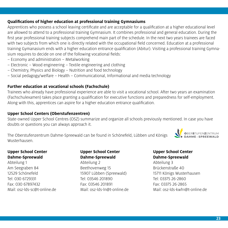# **Qualifications of higher education at professional training Gymnasiums**

Apprentices who possess a school leaving certificate and are acceptable for a qualification at a higher educational level are allowed to attend to a professional training Gymnasium. It combines professional and general education. During the first year professional training subjects comprehend main part of the schedule. In the next two years trainees are faced with two subjects from which one is directly related with the occupational field concerned. Education at a professional training Gymanasium ends with a higher education entrance qualification (Abitur). Visiting a professional training Gymnasium requires to decide on one of the following vocational fields:

- Economy and administration Metalworking
- Electronic Wood engineering Textile engineering and clothing
- Chemistry, Physics and Biology Nutrition and food technology
- Social pedagogy/welfare Health Communicational, Informational and media technology

# **Further education at vocational schools (Fachschule)**

Trainees who already have professional experience are able to visit a vocational school. After two years an examination (Fachschulexamen) takes place granting a qualification for executive functions and preparedness for self-employment. Along with this, apprentices can aspire for a higher education entrance qualification.

# **Upper School Centers (Oberstufenzentren)**

State-owned Upper School Centres (OSZ) summarize and organize all schools previously mentioned. In case you have doubts or questions you can always approach it.

The Oberstufenzentrum Dahme-Spreewald can be found in Schönefeld, Lübben und Königs Wusterhausen.

# **Upper School Center Dahme-Spreewald**

Abteilung 1 Am Seegraben 84 12529 Schönefeld Tel: 030 6729331 Fax: 030 67897432 Mail: osz-lds-sc@t-online.de

# **Upper School Center Dahme-Spreewald**

Abteilung 2 Beethovenweg 15 15907 Lübben (Spreewald) Tel: 03546 201890 Fax: 03546 201891 Mail: osz-lds-ln@t-online.de

# **Upper School Center Dahme-Spreewald**

Abteilung 3 Brückenstraße 40 15711 Königs Wusterhausen Tel: 03375 26-2860 Fax: 03375 26-2865 Mail: osz-lds-kwh1@t-online.de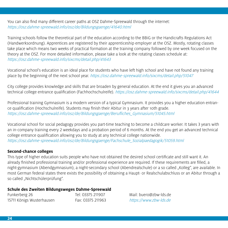You can also find many different career paths at OSZ Dahme-Spreewald through the internet: https://osz.dahme-spreewald.info/osz/de/Bildungsgaenge/41640.html

Training schools follow the theoretical part of the education according to the BBiG or the Handicrafts Regulations Act (Handwerksordnung). Apprentices are registered by their apprenticeship employer at the OSZ. Mostly, rotating classes take place which means two weeks of practical formation at the training company followed by one week focused on the theory at the OSZ. For more detailed information, please take a look at the rotating classes schedule at: https://osz.dahme-spreewald.info/sixcms/detail.php/41643

Vocational school's education is an ideal place for students who have left high school and have not found any training place by the beginning of the next school year. https://osz.dahme-spreewald.info/sixcms/detail.php/51047

City college provides knowledge and skills that are broaden by general education. At the end it gives you an advanced technical college entrance qualification (Fachhochschulreife). https://osz.dahme-spreewald.info/sixcms/detail.php/41644

Professional training Gymnasium is a modern version of a typical Gymnasium. It provides you a higher education entrance qualification (Hochschulreife). Students may finish their Abitur in 3 years after 10th grade. https://osz.dahme-spreewald.info/osz/de/Bildungsgaenge/Berufliches\_Gymnasium/51045.html

Vocational school for social pedagogy provides you part-time teaching to become a childcare worker. It takes 3 years with an in-company training every 2 weekdays and a probation period of 6 months. At the end you get an advanced technical college entrance qualification allowing you to study at any technical college nationwide. https://osz.dahme-spreewald.info/osz/de/Bildungsgaenge/Fachschule\_Sozialpaedagogik/51059.html

# **Second-chance colleges**

This type of higher education suits people who have not obtained the desired school certificate and still want it. An already finished professional training and/or professional experience are required. If these requirements are filled, a night-gymnasium (Abendgymnasium), a night-secondary school (Abendrealschule) or a so called "Kolleg", are available. In most German federal states there exists the possibility of obtaining a Haupt- or Realschulabschluss or an Abitur through a so called "Nichtschülerprüfung".

# **Schule des Zweiten Bildungsweges Dahme-Spreewald**

Funkerberg 26 Tel: 03375 211907 Mail: buero@zbw-lds.de 15711 Königs Wusterhausen Fax: 03375 211963 https://www.zbw-lds.de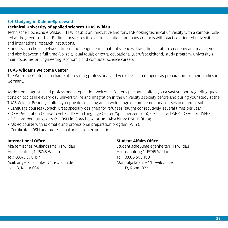# **5.4 Studying in Dahme-Spreewald**

# **Technical University of applied sciences TUAS Wildau**

Technische Hochschule Wildau (TH Wildau) is an innovative and forward-looking technical university with a campus located at the green south of Berlin. It possesses its own train station and many contacts with practice oriented universities and international research institutions.

Students can choose between Informatics, engineering, natural sciences, law, administration, economy and management and also between a full-time (vollzeit), dual (dual) or extra-ocupational (Berufsbegleitend) study program. University's main focus lies on Engineering, economic and computer science careers.

# **TUAS Wildau's Welcome Center**

The Welcome Center is in charge of providing professional and verbal skills to refugees as preparation for their studies in Germany.

Aside from linguistic and professional preparation Welcome Center's personnel offers you a vast support regarding questions on topics like every-day university life and integration in the university's society before and during your study at the TUAS Wildau. Besides, it offers you private coaching and a wide range of complementary courses in different subjects:

- Language courses (Sprachkurse) specially designed for refugees (taught consecutively, several times per year)
- DSH-Preparation Course Level B2, DSH in Language Center (Sprachenzentrum), Certificate: DSH-1, DSH-2 or DSH-3.
- DSH- Vorbereitungskurs C1 DSH im Sprachenzentrum, Abschluss: DSH-Prüfung
- Mixed course with idiomatic and professional preparation program (WFY), Certificates: DSH and professional admission examination.

### **International Office**

Akademisches Auslandsamt TH Wildau Hochschulring 1, 15745 Wildau Tel.: 03375 508 197 Mail: angelika.schubert@th-wildau.de Hall 13, Raum 034

### **Student Affairs Office**

Studentische Angelegenheiten TH Wildau Hochschulring 1, 15745 Wildau Tel.: 03375 508 180 Mail: silja.kuenzel@th-wildau.de Hall 13, Room 022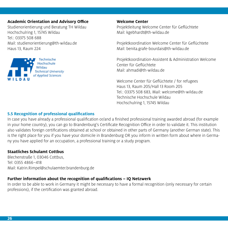# **Academic Orientation and Advisory Office**

Studienorientierung und Beratung TH Wildau Hochschulring 1, 15745 Wildau Tel.: 03375 508 688 Mail: studienorientierung@th-wildau.de Haus 13, Raum 224

**Technische** lochschule **Technical University** of Applied Sciences

**Welcome Center** Projektleitung Welcome Center für Geflüchtete Mail: kgebhardt@th-wildau.de

Projektkoordination Welcome Center für Geflüchtete Mail: benita.grafe-bourdais@th-wildau.de

Projektkoordination-Assistent & Administration Welcome Center für Geflüchtete Mail: ahmadi@th-wildau.de

Welcome Center für Geflüchtete / for refugees Haus 13, Raum 205/Hall 13 Room 205 Tel.: 03375 508 683, Mail: welcome@th-wildau.de Technische Hochschule Wildau Hochschulring 1, 15745 Wildau

# **5.5 Recognition of professional qualifications**

In case you have already a professional qualification or/and a finished professional training awarded abroad (for example in your home country), you can go to Brandenburg's Certificate Recognition Office in order to validate it. This institution also validates foreign certifications obtained at school or obtained in other parts of Germany (another German state). This is the right place for you if you have your domicile in Brandenburg OR you inform in written form about where in Germany you have applied for an occupation, a professional training or a study program.

# **Staatliches Schulamt Cottbus**

Blechenstraße 1, 03046 Cottbus, Tel: 0355 4866–418 Mail: Katrin.Rimpel@schulaemter.brandenburg.de

# **Further information about the recognition of qualifications – IQ Netzwerk**

In order to be able to work in Germany it might be necessary to have a formal recognition (only necessary for certain professions), if the certification was granted abroad.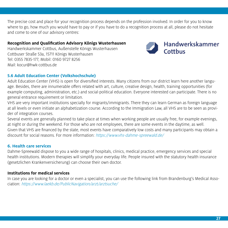The precise cost and place for your recognition process depends on the profession involved. In order for you to know where to go, how much you would have to pay or if you have to do a recognition process at all, please do not hesitate and come to one of our advisory centres:

# **Recognition and Qualification Advisory Königs Wusterhausen**

Handwerkskammer Cottbus, Außenstelle Königs Wusterhausen Cottbuser Straße 53a, 15711 Königs Wusterhausen Tel: 0355 7835-177, Mobil: 0160 9727 8256 Mail: kocur@hwk-cottbus.de



# **5.6 Adult Education Center (Volkshochschule)**

Adult Education Center (VHS) is open for diversified interests. Many citizens from our district learn here another language. Besides, there are innumerable offers related with art, culture, creative design, health, training opportunities (for example computing, administration, etc.) and social-political education. Everyone interested can participate. There is no general entrance requirement or limitation.

VHS are very important institutions specially for migrants/immigrants. There they can learn German as foreign language at all levels or even initiate an alphabetization course. According to the Immigration Law, all VHS are to be seen as provider of integration courses.

Several events are generally planned to take place at times when working people are usually free, for example evenings, at night or during the weekend. For those who are not employees, there are some events in the daytime, as well. Given that VHS are financed by the state, most events have comparatively low costs and many participants may obtain a discount for social reasons. For more information: https://www.vhs-dahme-spreewald.de/

# **6. Health care services**

Dahme-Spreewald dispose to you a wide range of hospitals, clinics, medical practice, emergency services and special health institutions. Modern therapies will simplify your everyday life. People insured with the statutory health insurance (gesetzlichen Krankenversicherung) can choose their own doctor.

# **Institutions for medical services**

In case you are looking for a doctor or even a specialist, you can use the following link from Brandenburg's Medical Association: https://www.laekb.de/PublicNavigation/arzt/arztsuche/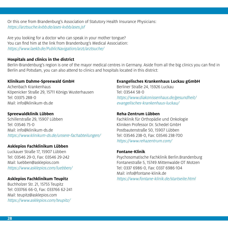Or this one from Brandenburg's Association of Statutory Health Insurance Physicians: https://arztsuche.kvbb.de/ases-kvbb/ases.jsf

Are you looking for a doctor who can speak in your mother tongue? You can find him at the link from Brandenburg's Medical Association: https://www.laekb.de/PublicNavigation/arzt/arztsuche/

# **Hospitals and clinics in the district**

Berlin-Brandenburg's region is one of the mayor medical centres in Germany. Aside from all the big clinics you can find in Berlin and Potsdam, you can also attend to clinics and hospitals located in this district:

# **Klinikum Dahme-Spreewald GmbH**

Achenbach Krankenhaus Köpenicker Straße 29, 15711 Königs Wusterhausen Tel: 03375 288-0 Mail: info@klinikum-ds.de

# **Spreewaldklinik Lübben**

Schillerstraße 29, 15907 Lübben Tel: 03546 75-0 Mail: info@klinikum-ds.de https://www.klinikum-ds.de/unsere-fachabteilungen/

# **Asklepios Fachklinikum Lübben**

Luckauer Straße 17, 15907 Lübben Tel: 03546 29-0, Fax: 03546 29-242 Mail: luebben@asklepios.com https://www.asklepios.com/luebben/

# **Asklepios Fachklinikum Teupitz**

Buchholzer Str. 21, 15755 Teupitz Tel: 033766 66-0, Fax: 033766 62-241 Mail: teupitz@asklepios.com https://www.asklepios.com/teupitz/

# **Evangelisches Krankenhaus Luckau gGmbH**

Berliner Straße 24, 15926 Luckau Tel: 03544 58-0 https://www.diakonissenhaus.de/gesundheit/ evangelisches-krankenhaus-luckau/

# **Reha-Zentrum Lübben**

Fachklinik für Orthopädie und Onkologie Kliniken Professor Dr. Schedel GmbH Postbautenstraße 50, 15907 Lübben Tel: 03546 238-0, Fax: 03546 238-700 https://www.rehazentrum.com/

# **Fontane-Klinik**

Psychosomatische Fachklinik Berlin.Brandenburg Fontanestraße 5, 15749 Mittenwalde OT Motzen Tel: 0337 6986-0, Fax: 0337 6986-104 Mail: info@fontane-klinik.de https://www.fontane-klinik.de/startseite.html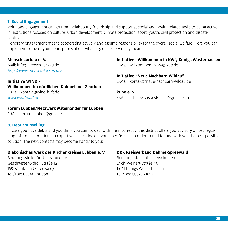# **7. Social Engagement**

Voluntary engagement can go from neighbourly friendship and support at social and health related tasks to being active in institutions focused on culture, urban development, climate protection, sport, youth, civil protection and disaster control.

Honorary engagement means cooperating actively and assume responsibility for the overall social welfare. Here you can implement some of your conceptions about what a good society really means.

### **Mensch Luckau e. V.**

Mail: info@mensch-luckau.de http://www.mensch-luckau.de/

**Initiative WIND - Willkommen im nördlichen Dahmeland, Zeuthen** E-Mail: kontakt@wind-hilft.de www.wind-hilft.de

### **Forum Lübben/Netzwerk Miteinander für Lübben**

E-Mail: forumluebben@gmx.de

### **8. Debt counselling**

In case you have debts and you think you cannot deal with them correctly, this district offers you advisory offices regarding this topic, too. Here an expert will take a look at your specific case in order to find for and with you the best possible solution. The next contacts may become handy to you:

# **Diakonisches Werk des Kirchenkreises Lübben e. V.**

Beratungsstelle für Überschuldete Geschwister-Scholl-Straße 12 15907 Lübben (Spreewald) Tel./Fax: 03546 180958

### **DRK Kreisverband Dahme-Spreewald**

Beratungsstelle für Überschuldete Erich-Weinert-Straße 46 15711 Königs Wusterhausen Tel./Fax: 03375 218971

**Initiative "Willkommen in KW", Königs Wusterhausen** E-Mail: willkommen-in-kw@web.de

**Initiative "Neue Nachbarn Wildau"**  E-Mail: kontakt@neue-nachbarn-wildau.de

**kune e. V.**  E-Mail: arbeitskreisbestensee@gmail.com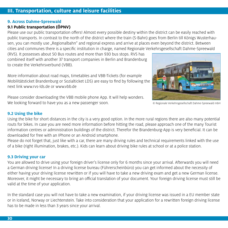# **III. Transportation, culture and leisure facilities**

# **9. Across Dahme-Spreewald**

# **9.1 Public transportation (ÖPNV)**

Please use our public transportation offers! Almost every possible destiny within the district can be easily reached with public transports. In contrast to the north of the district where the train (S-Bahn) goes from Berlin till Königs Wusterhausen, you can mostly use "Regionalbahn" and regional express and arrive at places even beyond the district. Between cities and communes there is a specific institution in charge, named Regionale Verkehrsgesellschaft Dahme-Spreewald

(RVS). It possesses about 50 Bus routes and more than 930 bus stops. RVS has combined itself with another 37 transport companies in Berlin and Brandenburg to create the Verkehrsverbund (VBB).

More information about road maps, timetables and VBB-Tickets (for example Mobilitätsticket Brandenburg or Sozialticket LDS) are easy to find by following the next link www.rvs-lds.de or www.vbb.de

Please consider downloading the VBB mobile phone App. It will help wonders. We looking forward to have you as a new passenger soon.

© Regionale Verkehrsgesellschaft Dahme-Spreewald mbH

# **9.2 Using the bike**

Using the bike for short distances in the city is a very good option. In the more rural regions there are also many potential routs for bikes. In case you are need more information before hitting the road, please approach one of the many Tourist information centres or administration buildings of the district. Therefor the Brandenburg-App is very beneficial. It can be downloaded for free with an IPhone or an Android smartphone.

Please do not forget that, just like with a car, there are many driving rules and technical requirements linked with the use of a bike (right illumination, brakes, etc.). Kids can learn about driving bike rules at school or at a police station.

# **9.3 Driving your car**

You are allowed to drive using your foreign driver's license only for 6 months since your arrival. Afterwards you will need a German driving license! In a driving license bureau (Führerscheinbüro) you can get informed about the necessity of either having your driving license rewritten or if you will have to take a new driving exam and get a new German license. Moreover, it might be necessary to bring an official translation of your document. Your foreign driving license must still be valid at the time of your application.

In the standard case you will not have to take a new examination, if your driving license was issued in a EU member state or in Iceland, Norway or Liechtenstein. Take into consideration that your application for a rewritten foreign driving license has to be made in less than 3 years since your arrival.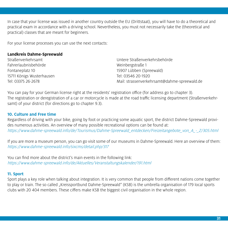In case that your license was issued in another country outside the EU (Drittstaat), you will have to do a theoretical and practical exam in accordance with a driving school. Nevertheless, you must not necessarily take the (theoretical and practical) classes that are meant for beginners.

For your license processes you can use the next contacts:

# **Landkreis Dahme-Spreewald**

Straßenverkehrsamt Fahrerlaubnisbehörde Fontaneplatz 10 15711 Königs Wusterhausen Tel: 03375 26-2678

Untere Straßenverkehrsbehörde Weinbergstraße 1 15907 Lübben (Spreewald) Tel: 03546 20-1920 Mail: strassenverkehrsamt@dahme-spreewald.de

You can pay for your German license right at the residents' registration office (for address go to chapter 3). The registration or deregistration of a car or motorcycle is made at the road traffic licensing department (Straßenverkehrsamt) of your district (for directions go to chapter 9.3).

# **10. Culture and Free time**

Regardless of driving with your bike, going by foot or practicing some aquatic sport, the district Dahme-Spreewald provides numerous activities. An overview of many possible recreational options can be found at: https://www.dahme-spreewald.info/de/Tourismus/Dahme-Spreewald\_entdecken/Freizeitangebote\_von\_A\_-\_Z/305.html

If you are more a museum person, you can go visit some of our museums in Dahme-Spreewald. Here an overview of them: https://www.dahme-spreewald.info/sixcms/detail.php/317

You can find more about the district's main events in the following link: https://www.dahme-spreewald.info/de/Aktuelles/Veranstaltungskalender/191.html

# **11. Sport**

Sport plays a key role when talking about integration. It is very common that people from different nations come together to play or train. The so called "Kreissportbund Dahme-Spreewald" (KSB) is the umbrella organisation of 179 local sports clubs with 20 404 members. These ciffers make KSB the biggest civil organisation in the whole region.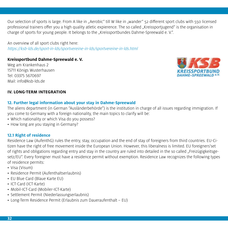Our selection of sports is large. From A like in "Aerobic" till W like in "wander" 52 different sport clubs with 550 licensed professional trainers offer you a high quality atletic expierence. The so called "Kreissportjugend" is the organisation in charge of sports for young people. It belongs to the "Kreissportbundes Dahme-Spreewald e. V.".

An overview of all sport clubs right here: https://ksb-lds.de/sport-in-lds/sportvereine-in-lds/sportvereine-in-lds.html

# **Kreissportbund Dahme-Spreewald e. V.**

Weg am Krankenhaus 2 15711 Königs Wusterhausen Tel: 03375 5670697 Mail: info@ksb-lds.de



# **IV. LONG-TERM INTEGRATION**

# **12. Further legal information about your stay in Dahme-Spreewald**

The aliens department (in German "Ausländerbehörde") is the institution in charge of all issues regarding immigration. If you come to Germany with a foreign nationality, the main topics to clarify will be:

- Which nationality or which Visa do you possess?
- How long are you staying in Germany?

# **12.1 Right of residence**

Residence Law (AufenthG) rules the entry, stay, occupation and the end of stay of foreigners from third countries. EU-Citizen have the right of free movement inside the European Union. However, this liberalness is limited. EU foreigners'set of rights and obligations regarding entry and stay in the country are ruled into detailed in the so called "Freizügigkeitsgesetz/EU". Every foreigner must have a residence permit without exemption. Residence Law recognizes the following types of residence permits:

- Visa (Visum)
- Residence Permit (Aufenthaltserlaubnis)
- EU Blue Card (Blaue Karte EU)
- ICT-Card (ICT-Karte)
- Mobil-ICT-Card (Mobiler-ICT-Karte)
- Settlement Permit (Niederlassungserlaubnis)
- Long-Term Residence Permit (Erlaubnis zum Daueraufenthalt EU)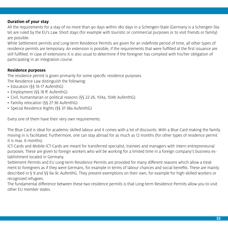# **Duration of your stay**

All the requirements for a stay of no more than 90 days within 180 days in a Schengen-State (Germany is a Schengen-State) are ruled by the EU's Law. Short stays (for example with touristic or commercial purposes or to visit friends or family) are possible.

While Settlement permits and Long-term Residence Permits are given for an indefinite period of time, all other types of residence permits are temporary. An extension is possible, if the requirements that were fulfilled at the first issuance are still fulfilled. In case of extensions it is also usual to determine if the foreigner has complied with his/her obligation of participating in an integration course.

# **Residence purposes**

The residence permit is given primarily for some specific residence purposes.

- The Residence Law distinguish the following:
- Education (§§ 16-17 AufenthG)
- Employment (§§ 18 ff. AufenthG)
- Civil, humanitarian or political reasons (§§ 22-26, 104a, 104b AufenthG)
- Familiy relocation (§§ 27-36 AufenthG)
- Special Residence Rights (§§ 37-38a AufenthG)

Every one of them have their very own requirements.

The Blue Card is ideal for academic skilled labour and it comes with a lot of discounts. With a Blue Card making the family moving in is facilitated. Furthermore, one can stay abroad for as much as 12 months (for other types of residence permit it is max. 6 months).

ICT-Cards and Mobile ICT-Cards are meant for transferred specialist, trainees and managers with intern entrepreneurial purposes. These are given to foreign workers who will be working for a limited time in a foreign company's business establishment located in Germany.

Settlement Permits and EU Long-term Residence Permits are provided for many different reasons which allow a treatment to foreigners as if they were Germans, for example in terms of labour chances and social benefits. These are mainly described in § 9 and §§ 9a-9c AufenthG. They present exemptions on their own, for example for high-skilled workers or recognized refugees.

The fundamental difference between these two residence permits is that Long-term Residence Permits allow you to visit other EU member states.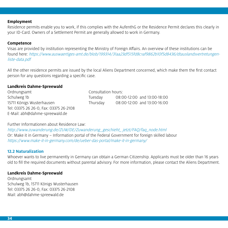# **Employment**

Residence permits enable you to work, if this complies with the AufenthG or the Residence Permit declares this clearly in your ID-Card. Owners of a Settlement Permit are generally allowed to work in Germany.

# **Competence**

Visas are provided by institution representing the Ministry of Foreign Affairs. An overview of these institutions can be found here: https://www.auswaertiges-amt.de/blob/199314/31aa23df515fd8c1af9862b10f5d8436/dtauslandsvertretungenliste-data.pdf

All the other residence permits are issued by the local Aliens Department concerned, which make them the first contact person for any questions regarding a specific case.

### **Landkreis Dahme-Spreewald**

| Ordnungsamt                            |          | Consultation hours:         |  |  |
|----------------------------------------|----------|-----------------------------|--|--|
| Schulweg 1b                            | Tuesday  | 08:00-12:00 and 13:00-18:00 |  |  |
| 15711 Königs Wusterhausen              | Thursday | 08:00-12:00 and 13:00-16:00 |  |  |
| Tel: 03375 26 26-0, Fax: 03375 26-2108 |          |                             |  |  |
| E-Mail: abh@dahme-spreewald.de         |          |                             |  |  |

Further Informationen about Residence Law:

http://www.zuwanderung.de/ZUW/DE/Zuwanderung\_geschieht\_ jetzt/FAQ/faq\_node.html Or: Make it in Germany – Information portal of the Federal Government for foreign skilled labour https://www.make-it-in-germany.com/de/ueber-das-portal/make-it-in-germany/

# **12.2 Naturalization**

Whoever wants to live permanently in Germany can obtain a German Citizenship. Applicants must be older than 16 years old to fill the required documents without parental advisory. For more information, please contact the Aliens Department.

# **Landkreis Dahme-Spreewald**

Ordnungsamt Schulweg 1b, 15711 Königs Wusterhausen Tel: 03375 26 26-0, Fax: 03375 26-2108 Mail: abh@dahme-spreewald.de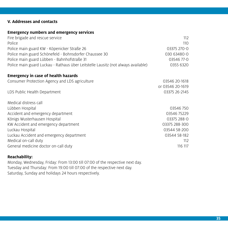# **V. Addresses and contacts**

# **Emergency numbers and emergency services**

| Fire brigade and rescue service                                                   | 112              |
|-----------------------------------------------------------------------------------|------------------|
| Police                                                                            | 110              |
| Police main guard KW - Köpenicker Straße 26                                       | 03375 270-0      |
| Police main guard Schönefeld - Bohnsdorfer Chaussee 30                            | 030 63480-0      |
| Police main guard Lübben - Bahnhofstraße 31                                       | 03546 77-0       |
| Police main guard Luckau - Rathaus über Leitstelle Lausitz (not always available) | 0355 6320        |
| <b>Emergency in case of health hazards</b>                                        |                  |
| Consumer Protection Agency and LDS agriculture                                    | 03546 20-1618    |
|                                                                                   | or 03546 20-1619 |
| LDS Public Health Department                                                      | 03375 26-2145    |
| Medical distress call                                                             |                  |
| Lübben Hospital                                                                   | 03546750         |
| Accident and emergency department                                                 | 03546 75229      |
| Königs Wusterhausen Hospital                                                      | 03375 288-0      |
| KW Accident and emergency department                                              | 03375 288-300    |
| Luckau Hospital                                                                   | 03544 58-200     |
| Luckau Accident and emergency department                                          | 03544 58-182     |
| Medical on-call duty                                                              | 112              |
| General medicine doctor on-call duty                                              | 116 117          |
|                                                                                   |                  |

# **Reachability:**

Monday, Wednesday, Friday: From 13:00 till 07:00 of the respective next day. Tuesday and Thursday: From 19:00 till 07:00 of the respective next day. Saturday, Sunday and holidays 24 hours respectively.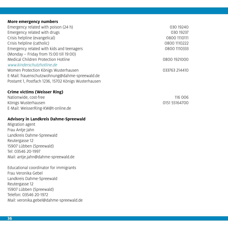### **More emergency numbers**

| Emergency related with poison (24 h)                | 030 19240     |
|-----------------------------------------------------|---------------|
| Emergency related with drugs                        | 030 19237     |
| Crisis helpline (evangelical)                       | 0800 1110111  |
| Crisis helpline (catholic)                          | 0800 1110222  |
| Emergency related with kids and teenagers           | 0800 1110333  |
| (Monday – Friday from 15:00 till 19:00)             |               |
| <b>Medical Children Protection Hotline</b>          | 0800 1921000  |
| www.kinderschutzhotline.de                          |               |
| Women Protection Königs Wusterhausen                | 033763 214410 |
| E-Mail: frauenschutzwohnung@dahme-spreewald.de      |               |
| Postamt 1, Postfach 1236, 15702 Königs Wusterhausen |               |

# **Crime victims (Weisser Ring)**

Nationwide, cost-free 116 006 Königs Wusterhausen and European European Communist Communist Communist Communist Communist Communist Communist Communist Communist Communist Communist Communist Communist Communist Communist Communist Communist Communist E-Mail: WeisserRing-KW@t-online.de

# **Advisory in Landkreis Dahme-Spreewald**

Migration agent Frau Antje Jahn Landkreis Dahme-Spreewald Reutergasse 12 15907 Lübben (Spreewald) Tel: 03546 20-1997 Mail: antje.jahn@dahme-spreewald.de

Educational coordinator for immigrants Frau Veronika Gebel Landkreis Dahme-Spreewald Reutergasse 12 15907 Lübben (Spreewald) Telefon: 03546 20-1972 Mail: veronika.gebel@dahme-spreewald.de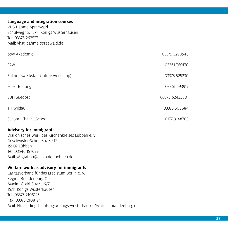# **Language and integration courses**

VHS Dahme-Spreewald Schulweg 1b, 15711 Königs Wusterhausen Tel: 03375 262527 Mail: vhs@dahme-spreewald.de

| bbw Akademie                        | 03375 5298548  |
|-------------------------------------|----------------|
| <b>FAW</b>                          | 03361760170    |
| Zukunftswerkstatt (future workshop) | 03375 525230   |
| Hiller Bildung                      | 03361 693917   |
| <b>SBH Suedost</b>                  | 03375-52435801 |
| TH Wildau                           | 03375 508684   |
| Second-Chance School                | 0177 9148705   |

# **Advisory for immigrants**

Diakonisches Werk des Kirchenkreises Lübben e. V. Geschwister-Scholl-Straße 12 15907 Lübben Tel: 03546 187639 Mail: Migration@diakonie-luebben.de

# **Welfare work as advisory for immigrants**

Caritasverband für das Erzbistum Berlin e. V. Region Brandenburg Ost Maxim-Gorki-Straße 6/7 15711 Königs Wusterhausen Tel: 03375 2108125 Fax: 03375 2108124 Mail: Fluechtlingsberatung-koenigs-wusterhausen@caritas-brandenburg.de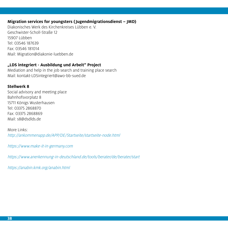# **Migration services for youngsters (Jugendmigrationsdienst – JMD)**

Diakonisches Werk des Kirchenkreises Lübben e. V. Geschwister-Scholl-Straße 12 15907 Lübben Tel: 03546 187639 Fax: 03546 181014 Mail: Migration@diakonie-luebben.de

# **"LDS integriert - Ausbildung und Arbeit" Project**

Mediation and help in the job search and training place search Mail: kontakt-LDSintegriert@awo-bb-sued.de

# **Stellwerk 8**

Social advisory and meeting place Bahnhofsvorplatz 8 15711 Königs Wusterhausen Tel: 03375 2868870 Fax: 03375 2868869 Mail: s8@dsdlds.de

More Links: http://ankommenapp.de/APP/DE/Startseite/startseite-node.html

https://www.make-it-in-germany.com

https://www.anerkennung-in-deutschland.de/tools/berater/de/berater/start

https://anabin.kmk.org/anabin.html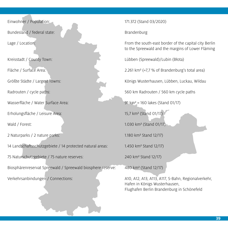Bundesland / federal state: Brandenburg Brandenburg

Wasserfläche / Water Surface Area: 91 km² = 160 lakes (Stand 01/17)

Erholungsfläche / Leisure Area: 15,7 km² (Stand 01/17)

2 Naturparks / 2 nature parks: 1.180 km² Stand 12/17)

14 Landschaftsschutzgebiete / 14 protected natural areas: 1.450 km² Stand 12/17)

75 Naturschutzgebiete / 75 nature reserves: 240 km² Stand 12/17)

Biosphärenreservat Spreewald / Spreewald biosphere reserve: 480 km² (Stand 12/17)

Einwohner / Population: 171.372 (Stand 03/2020)

Lage / Location: From the south-east border of the capital city Berlin to the Spreewald and the margins of Lower Fläming

Kreisstadt / County Town: Lübben (Spreewald)/Lubin (Błota)

Fläche / Surface Area: 2.261 km² (=7,7 % of Brandenburg's total area)

Größte Städte / Largest Towns: Königs Wusterhausen, Lübben, Luckau, Wildau

Radrouten / cycle paths: 560 km Radrouten / 560 km cycle paths

Wald / Forest: 1.030 km² (Stand 01/17)

Verkehrsanbindungen / Connections: A10, A12, A13, A113, A117, S-Bahn, Regionalverkehr, Hafen in Königs Wusterhausen, Flughafen Berlin Brandenburg in Schönefeld